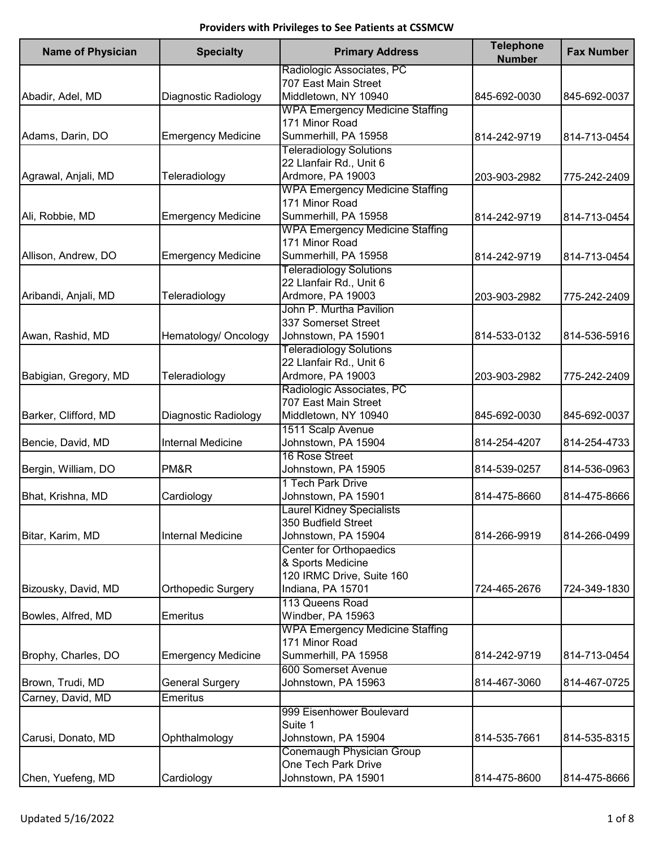| <b>Name of Physician</b> | <b>Specialty</b>          | <b>Primary Address</b>                 | <b>Telephone</b><br><b>Number</b> | <b>Fax Number</b> |
|--------------------------|---------------------------|----------------------------------------|-----------------------------------|-------------------|
|                          |                           | Radiologic Associates, PC              |                                   |                   |
|                          |                           | 707 East Main Street                   |                                   |                   |
| Abadir, Adel, MD         | Diagnostic Radiology      | Middletown, NY 10940                   | 845-692-0030                      | 845-692-0037      |
|                          |                           | <b>WPA Emergency Medicine Staffing</b> |                                   |                   |
|                          |                           | 171 Minor Road                         |                                   |                   |
| Adams, Darin, DO         | <b>Emergency Medicine</b> | Summerhill, PA 15958                   | 814-242-9719                      | 814-713-0454      |
|                          |                           | <b>Teleradiology Solutions</b>         |                                   |                   |
|                          |                           | 22 Llanfair Rd., Unit 6                |                                   |                   |
| Agrawal, Anjali, MD      | Teleradiology             | Ardmore, PA 19003                      | 203-903-2982                      | 775-242-2409      |
|                          |                           | <b>WPA Emergency Medicine Staffing</b> |                                   |                   |
|                          |                           | 171 Minor Road                         |                                   |                   |
| Ali, Robbie, MD          | <b>Emergency Medicine</b> | Summerhill, PA 15958                   | 814-242-9719                      | 814-713-0454      |
|                          |                           | <b>WPA Emergency Medicine Staffing</b> |                                   |                   |
|                          |                           | 171 Minor Road                         |                                   |                   |
| Allison, Andrew, DO      | <b>Emergency Medicine</b> | Summerhill, PA 15958                   | 814-242-9719                      | 814-713-0454      |
|                          |                           | <b>Teleradiology Solutions</b>         |                                   |                   |
|                          |                           | 22 Llanfair Rd., Unit 6                |                                   |                   |
| Aribandi, Anjali, MD     | Teleradiology             | Ardmore, PA 19003                      | 203-903-2982                      | 775-242-2409      |
|                          |                           | John P. Murtha Pavilion                |                                   |                   |
|                          |                           | 337 Somerset Street                    |                                   |                   |
| Awan, Rashid, MD         | Hematology/ Oncology      | Johnstown, PA 15901                    | 814-533-0132                      | 814-536-5916      |
|                          |                           | <b>Teleradiology Solutions</b>         |                                   |                   |
|                          |                           |                                        |                                   |                   |
|                          |                           | 22 Llanfair Rd., Unit 6                |                                   |                   |
| Babigian, Gregory, MD    | Teleradiology             | Ardmore, PA 19003                      | 203-903-2982                      | 775-242-2409      |
|                          |                           | Radiologic Associates, PC              |                                   |                   |
|                          |                           | 707 East Main Street                   |                                   |                   |
| Barker, Clifford, MD     | Diagnostic Radiology      | Middletown, NY 10940                   | 845-692-0030                      | 845-692-0037      |
|                          |                           | 1511 Scalp Avenue                      |                                   |                   |
| Bencie, David, MD        | Internal Medicine         | Johnstown, PA 15904                    | 814-254-4207                      | 814-254-4733      |
|                          |                           | 16 Rose Street                         |                                   |                   |
| Bergin, William, DO      | PM&R                      | Johnstown, PA 15905                    | 814-539-0257                      | 814-536-0963      |
|                          |                           | 1 Tech Park Drive                      |                                   |                   |
| Bhat, Krishna, MD        | Cardiology                | Johnstown, PA 15901                    | 814-475-8660                      | 814-475-8666      |
|                          |                           | <b>Laurel Kidney Specialists</b>       |                                   |                   |
|                          |                           | 350 Budfield Street                    |                                   |                   |
| Bitar, Karim, MD         | <b>Internal Medicine</b>  | Johnstown, PA 15904                    | 814-266-9919                      | 814-266-0499      |
|                          |                           | Center for Orthopaedics                |                                   |                   |
|                          |                           | & Sports Medicine                      |                                   |                   |
|                          |                           | 120 IRMC Drive, Suite 160              |                                   |                   |
| Bizousky, David, MD      | <b>Orthopedic Surgery</b> | Indiana, PA 15701                      | 724-465-2676                      | 724-349-1830      |
|                          |                           | 113 Queens Road                        |                                   |                   |
| Bowles, Alfred, MD       | <b>Emeritus</b>           | Windber, PA 15963                      |                                   |                   |
|                          |                           | <b>WPA Emergency Medicine Staffing</b> |                                   |                   |
|                          |                           | 171 Minor Road                         |                                   |                   |
| Brophy, Charles, DO      | <b>Emergency Medicine</b> | Summerhill, PA 15958                   | 814-242-9719                      | 814-713-0454      |
|                          |                           | 600 Somerset Avenue                    |                                   |                   |
| Brown, Trudi, MD         | <b>General Surgery</b>    | Johnstown, PA 15963                    | 814-467-3060                      | 814-467-0725      |
|                          |                           |                                        |                                   |                   |
| Carney, David, MD        | <b>Emeritus</b>           |                                        |                                   |                   |
|                          |                           | 999 Eisenhower Boulevard               |                                   |                   |
|                          |                           | Suite 1                                |                                   |                   |
| Carusi, Donato, MD       | Ophthalmology             | Johnstown, PA 15904                    | 814-535-7661                      | 814-535-8315      |
|                          |                           | Conemaugh Physician Group              |                                   |                   |
|                          |                           | One Tech Park Drive                    |                                   |                   |
| Chen, Yuefeng, MD        | Cardiology                | Johnstown, PA 15901                    | 814-475-8600                      | 814-475-8666      |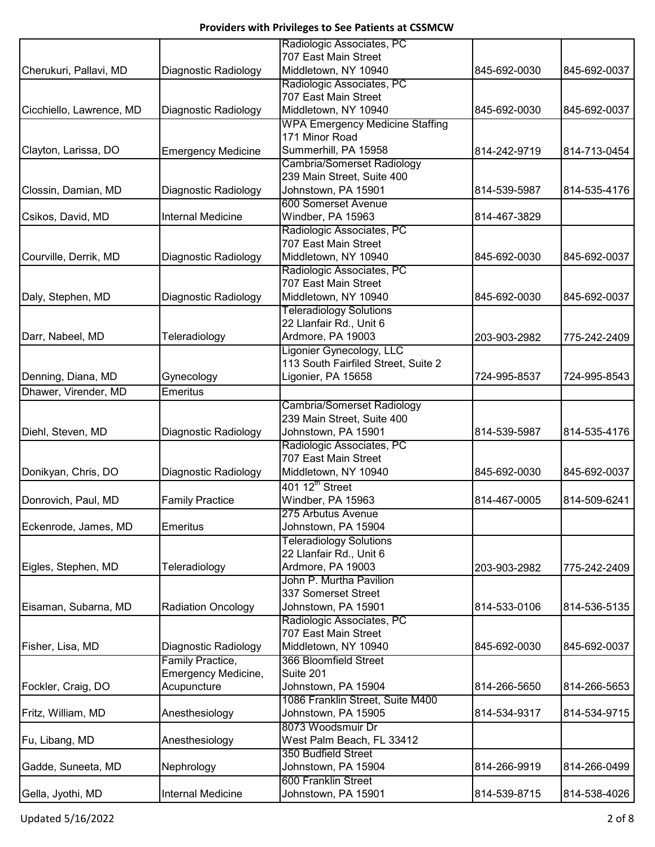|                          |                           | Radiologic Associates, PC              |              |              |
|--------------------------|---------------------------|----------------------------------------|--------------|--------------|
|                          |                           | 707 East Main Street                   |              |              |
| Cherukuri, Pallavi, MD   | Diagnostic Radiology      | Middletown, NY 10940                   | 845-692-0030 | 845-692-0037 |
|                          |                           | Radiologic Associates, PC              |              |              |
|                          |                           | 707 East Main Street                   |              |              |
| Cicchiello, Lawrence, MD | Diagnostic Radiology      | Middletown, NY 10940                   | 845-692-0030 | 845-692-0037 |
|                          |                           | <b>WPA Emergency Medicine Staffing</b> |              |              |
|                          |                           | 171 Minor Road                         |              |              |
| Clayton, Larissa, DO     | <b>Emergency Medicine</b> | Summerhill, PA 15958                   | 814-242-9719 | 814-713-0454 |
|                          |                           | Cambria/Somerset Radiology             |              |              |
|                          |                           | 239 Main Street, Suite 400             |              |              |
|                          |                           |                                        |              |              |
| Clossin, Damian, MD      | Diagnostic Radiology      | Johnstown, PA 15901                    | 814-539-5987 | 814-535-4176 |
|                          |                           | 600 Somerset Avenue                    |              |              |
| Csikos, David, MD        | <b>Internal Medicine</b>  | Windber, PA 15963                      | 814-467-3829 |              |
|                          |                           | Radiologic Associates, PC              |              |              |
|                          |                           | 707 East Main Street                   |              |              |
| Courville, Derrik, MD    | Diagnostic Radiology      | Middletown, NY 10940                   | 845-692-0030 | 845-692-0037 |
|                          |                           | Radiologic Associates, PC              |              |              |
|                          |                           | 707 East Main Street                   |              |              |
| Daly, Stephen, MD        | Diagnostic Radiology      | Middletown, NY 10940                   | 845-692-0030 | 845-692-0037 |
|                          |                           | <b>Teleradiology Solutions</b>         |              |              |
|                          |                           | 22 Llanfair Rd., Unit 6                |              |              |
| Darr, Nabeel, MD         | Teleradiology             | Ardmore, PA 19003                      | 203-903-2982 | 775-242-2409 |
|                          |                           | Ligonier Gynecology, LLC               |              |              |
|                          |                           | 113 South Fairfiled Street, Suite 2    |              |              |
| Denning, Diana, MD       | Gynecology                | Ligonier, PA 15658                     | 724-995-8537 | 724-995-8543 |
| Dhawer, Virender, MD     | <b>Emeritus</b>           |                                        |              |              |
|                          |                           | Cambria/Somerset Radiology             |              |              |
|                          |                           | 239 Main Street, Suite 400             |              |              |
| Diehl, Steven, MD        | Diagnostic Radiology      | Johnstown, PA 15901                    | 814-539-5987 | 814-535-4176 |
|                          |                           | Radiologic Associates, PC              |              |              |
|                          |                           | 707 East Main Street                   |              |              |
|                          |                           |                                        |              |              |
| Donikyan, Chris, DO      | Diagnostic Radiology      | Middletown, NY 10940                   | 845-692-0030 | 845-692-0037 |
|                          |                           | 401 12 <sup>th</sup> Street            |              |              |
| Donrovich, Paul, MD      | <b>Family Practice</b>    | Windber, PA 15963                      | 814-467-0005 | 814-509-6241 |
|                          |                           | 275 Arbutus Avenue                     |              |              |
| Eckenrode, James, MD     | <b>Emeritus</b>           | Johnstown, PA 15904                    |              |              |
|                          |                           | Teleradiology Solutions                |              |              |
|                          |                           | 22 Llanfair Rd., Unit 6                |              |              |
| Eigles, Stephen, MD      | Teleradiology             | Ardmore, PA 19003                      | 203-903-2982 | 775-242-2409 |
|                          |                           | John P. Murtha Pavilion                |              |              |
|                          |                           | 337 Somerset Street                    |              |              |
| Eisaman, Subarna, MD     | <b>Radiation Oncology</b> | Johnstown, PA 15901                    | 814-533-0106 | 814-536-5135 |
|                          |                           | Radiologic Associates, PC              |              |              |
|                          |                           | 707 East Main Street                   |              |              |
| Fisher, Lisa, MD         | Diagnostic Radiology      | Middletown, NY 10940                   | 845-692-0030 | 845-692-0037 |
|                          | Family Practice,          | 366 Bloomfield Street                  |              |              |
|                          | Emergency Medicine,       | Suite 201                              |              |              |
| Fockler, Craig, DO       | Acupuncture               | Johnstown, PA 15904                    | 814-266-5650 | 814-266-5653 |
|                          |                           | 1086 Franklin Street, Suite M400       |              |              |
| Fritz, William, MD       |                           | Johnstown, PA 15905                    | 814-534-9317 | 814-534-9715 |
|                          | Anesthesiology            |                                        |              |              |
|                          |                           | 8073 Woodsmuir Dr                      |              |              |
| Fu, Libang, MD           | Anesthesiology            | West Palm Beach, FL 33412              |              |              |
|                          |                           | 350 Budfield Street                    |              |              |
| Gadde, Suneeta, MD       | Nephrology                | Johnstown, PA 15904                    | 814-266-9919 | 814-266-0499 |
|                          |                           | 600 Franklin Street                    |              |              |
| Gella, Jyothi, MD        | <b>Internal Medicine</b>  | Johnstown, PA 15901                    | 814-539-8715 | 814-538-4026 |

Updated 5/16/2022 2 of 8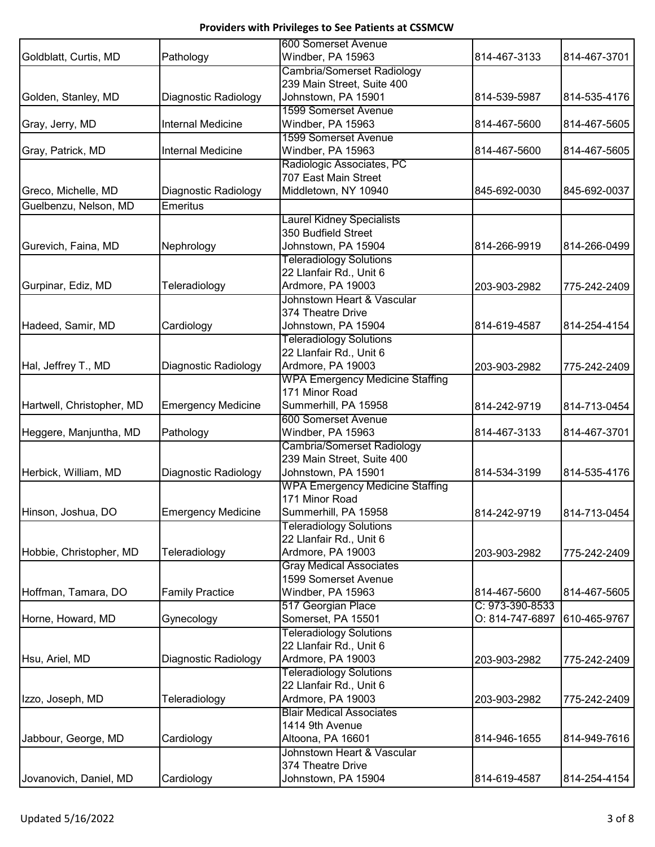|                           |                           | 600 Somerset Avenue                    |                 |              |
|---------------------------|---------------------------|----------------------------------------|-----------------|--------------|
| Goldblatt, Curtis, MD     | Pathology                 | Windber, PA 15963                      | 814-467-3133    | 814-467-3701 |
|                           |                           | <b>Cambria/Somerset Radiology</b>      |                 |              |
|                           |                           | 239 Main Street, Suite 400             |                 |              |
| Golden, Stanley, MD       | Diagnostic Radiology      | Johnstown, PA 15901                    | 814-539-5987    | 814-535-4176 |
|                           |                           | 1599 Somerset Avenue                   |                 |              |
| Gray, Jerry, MD           | <b>Internal Medicine</b>  | Windber, PA 15963                      | 814-467-5600    | 814-467-5605 |
|                           |                           | 1599 Somerset Avenue                   |                 |              |
| Gray, Patrick, MD         | <b>Internal Medicine</b>  | Windber, PA 15963                      | 814-467-5600    | 814-467-5605 |
|                           |                           | Radiologic Associates, PC              |                 |              |
|                           |                           | 707 East Main Street                   |                 |              |
| Greco, Michelle, MD       | Diagnostic Radiology      | Middletown, NY 10940                   | 845-692-0030    | 845-692-0037 |
| Guelbenzu, Nelson, MD     | <b>Emeritus</b>           |                                        |                 |              |
|                           |                           | <b>Laurel Kidney Specialists</b>       |                 |              |
|                           |                           | 350 Budfield Street                    |                 |              |
| Gurevich, Faina, MD       | Nephrology                | Johnstown, PA 15904                    | 814-266-9919    | 814-266-0499 |
|                           |                           | <b>Teleradiology Solutions</b>         |                 |              |
|                           |                           | 22 Llanfair Rd., Unit 6                |                 |              |
| Gurpinar, Ediz, MD        | Teleradiology             | Ardmore, PA 19003                      | 203-903-2982    | 775-242-2409 |
|                           |                           | Johnstown Heart & Vascular             |                 |              |
|                           |                           | 374 Theatre Drive                      |                 |              |
| Hadeed, Samir, MD         | Cardiology                | Johnstown, PA 15904                    | 814-619-4587    | 814-254-4154 |
|                           |                           | <b>Teleradiology Solutions</b>         |                 |              |
|                           |                           | 22 Llanfair Rd., Unit 6                |                 |              |
| Hal, Jeffrey T., MD       | Diagnostic Radiology      | Ardmore, PA 19003                      | 203-903-2982    | 775-242-2409 |
|                           |                           | <b>WPA Emergency Medicine Staffing</b> |                 |              |
|                           |                           | 171 Minor Road                         |                 |              |
| Hartwell, Christopher, MD | <b>Emergency Medicine</b> | Summerhill, PA 15958                   | 814-242-9719    | 814-713-0454 |
|                           |                           | 600 Somerset Avenue                    |                 |              |
| Heggere, Manjuntha, MD    | Pathology                 | Windber, PA 15963                      | 814-467-3133    | 814-467-3701 |
|                           |                           | <b>Cambria/Somerset Radiology</b>      |                 |              |
|                           |                           | 239 Main Street, Suite 400             |                 |              |
| Herbick, William, MD      | Diagnostic Radiology      | Johnstown, PA 15901                    | 814-534-3199    | 814-535-4176 |
|                           |                           | <b>WPA Emergency Medicine Staffing</b> |                 |              |
|                           |                           | 171 Minor Road                         |                 |              |
| Hinson, Joshua, DO        | <b>Emergency Medicine</b> | Summerhill, PA 15958                   | 814-242-9719    | 814-713-0454 |
|                           |                           | <b>Teleradiology Solutions</b>         |                 |              |
|                           |                           | 22 Llanfair Rd., Unit 6                |                 |              |
| Hobbie, Christopher, MD   | Teleradiology             | Ardmore, PA 19003                      | 203-903-2982    | 775-242-2409 |
|                           |                           | <b>Gray Medical Associates</b>         |                 |              |
|                           |                           | 1599 Somerset Avenue                   |                 |              |
| Hoffman, Tamara, DO       | <b>Family Practice</b>    | Windber, PA 15963                      | 814-467-5600    | 814-467-5605 |
|                           |                           | 517 Georgian Place                     | C: 973-390-8533 |              |
| Horne, Howard, MD         | Gynecology                | Somerset, PA 15501                     | O: 814-747-6897 | 610-465-9767 |
|                           |                           | <b>Teleradiology Solutions</b>         |                 |              |
|                           |                           | 22 Llanfair Rd., Unit 6                |                 |              |
| Hsu, Ariel, MD            | Diagnostic Radiology      | Ardmore, PA 19003                      | 203-903-2982    | 775-242-2409 |
|                           |                           | <b>Teleradiology Solutions</b>         |                 |              |
|                           |                           | 22 Llanfair Rd., Unit 6                |                 |              |
| Izzo, Joseph, MD          | Teleradiology             | Ardmore, PA 19003                      | 203-903-2982    | 775-242-2409 |
|                           |                           | <b>Blair Medical Associates</b>        |                 |              |
|                           |                           | 1414 9th Avenue                        |                 |              |
| Jabbour, George, MD       | Cardiology                | Altoona, PA 16601                      | 814-946-1655    | 814-949-7616 |
|                           |                           | Johnstown Heart & Vascular             |                 |              |
|                           |                           | 374 Theatre Drive                      |                 |              |
| Jovanovich, Daniel, MD    | Cardiology                | Johnstown, PA 15904                    | 814-619-4587    | 814-254-4154 |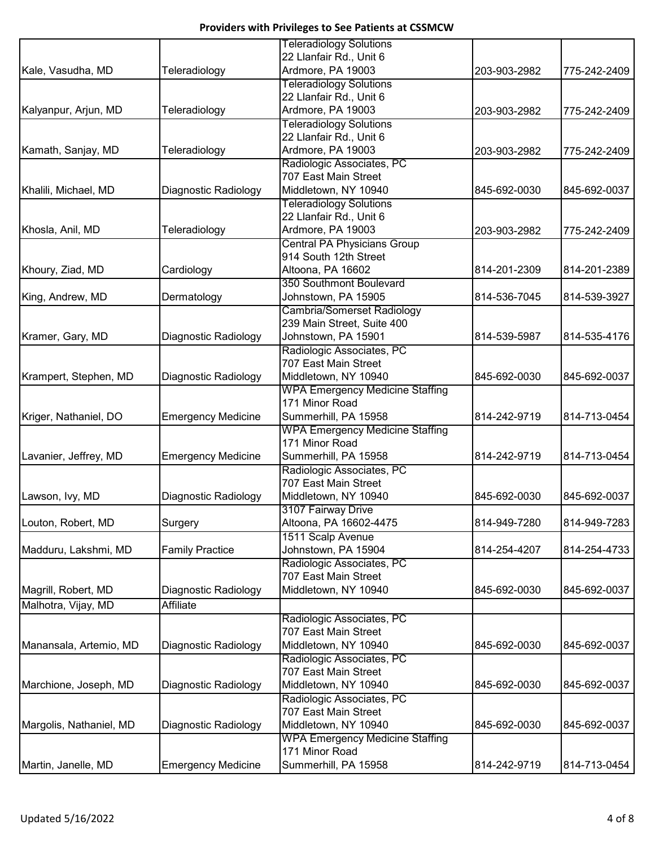|                         |                           | <b>Teleradiology Solutions</b>         |              |              |
|-------------------------|---------------------------|----------------------------------------|--------------|--------------|
|                         |                           | 22 Llanfair Rd., Unit 6                |              |              |
| Kale, Vasudha, MD       | Teleradiology             | Ardmore, PA 19003                      | 203-903-2982 | 775-242-2409 |
|                         |                           | <b>Teleradiology Solutions</b>         |              |              |
|                         |                           | 22 Llanfair Rd., Unit 6                |              |              |
| Kalyanpur, Arjun, MD    | Teleradiology             | Ardmore, PA 19003                      | 203-903-2982 | 775-242-2409 |
|                         |                           | <b>Teleradiology Solutions</b>         |              |              |
|                         |                           | 22 Llanfair Rd., Unit 6                |              |              |
| Kamath, Sanjay, MD      | Teleradiology             | Ardmore, PA 19003                      | 203-903-2982 | 775-242-2409 |
|                         |                           | Radiologic Associates, PC              |              |              |
|                         |                           | 707 East Main Street                   |              |              |
| Khalili, Michael, MD    | Diagnostic Radiology      | Middletown, NY 10940                   | 845-692-0030 | 845-692-0037 |
|                         |                           | <b>Teleradiology Solutions</b>         |              |              |
|                         |                           | 22 Llanfair Rd., Unit 6                |              |              |
| Khosla, Anil, MD        | Teleradiology             | Ardmore, PA 19003                      | 203-903-2982 | 775-242-2409 |
|                         |                           | <b>Central PA Physicians Group</b>     |              |              |
|                         |                           | 914 South 12th Street                  |              |              |
| Khoury, Ziad, MD        | Cardiology                | Altoona, PA 16602                      | 814-201-2309 | 814-201-2389 |
|                         |                           | 350 Southmont Boulevard                |              |              |
| King, Andrew, MD        | Dermatology               | Johnstown, PA 15905                    | 814-536-7045 | 814-539-3927 |
|                         |                           | <b>Cambria/Somerset Radiology</b>      |              |              |
|                         |                           | 239 Main Street, Suite 400             |              |              |
| Kramer, Gary, MD        | Diagnostic Radiology      | Johnstown, PA 15901                    | 814-539-5987 | 814-535-4176 |
|                         |                           | Radiologic Associates, PC              |              |              |
|                         |                           | 707 East Main Street                   |              |              |
| Krampert, Stephen, MD   | Diagnostic Radiology      | Middletown, NY 10940                   | 845-692-0030 | 845-692-0037 |
|                         |                           | <b>WPA Emergency Medicine Staffing</b> |              |              |
|                         |                           | 171 Minor Road                         |              |              |
| Kriger, Nathaniel, DO   | <b>Emergency Medicine</b> | Summerhill, PA 15958                   | 814-242-9719 | 814-713-0454 |
|                         |                           | <b>WPA Emergency Medicine Staffing</b> |              |              |
|                         |                           | 171 Minor Road                         |              |              |
| Lavanier, Jeffrey, MD   | <b>Emergency Medicine</b> | Summerhill, PA 15958                   | 814-242-9719 | 814-713-0454 |
|                         |                           | Radiologic Associates, PC              |              |              |
|                         |                           | 707 East Main Street                   |              |              |
| Lawson, Ivy, MD         | Diagnostic Radiology      | Middletown, NY 10940                   | 845-692-0030 | 845-692-0037 |
|                         |                           | 3107 Fairway Drive                     |              |              |
| Louton, Robert, MD      | Surgery                   | Altoona, PA 16602-4475                 | 814-949-7280 | 814-949-7283 |
|                         |                           | 1511 Scalp Avenue                      |              |              |
| Madduru, Lakshmi, MD    | <b>Family Practice</b>    | Johnstown, PA 15904                    | 814-254-4207 | 814-254-4733 |
|                         |                           | Radiologic Associates, PC              |              |              |
|                         |                           | 707 East Main Street                   |              |              |
| Magrill, Robert, MD     | Diagnostic Radiology      | Middletown, NY 10940                   | 845-692-0030 | 845-692-0037 |
| Malhotra, Vijay, MD     | Affiliate                 |                                        |              |              |
|                         |                           | Radiologic Associates, PC              |              |              |
|                         |                           | 707 East Main Street                   |              |              |
| Manansala, Artemio, MD  | Diagnostic Radiology      | Middletown, NY 10940                   | 845-692-0030 | 845-692-0037 |
|                         |                           | Radiologic Associates, PC              |              |              |
|                         |                           | 707 East Main Street                   |              |              |
| Marchione, Joseph, MD   | Diagnostic Radiology      | Middletown, NY 10940                   | 845-692-0030 | 845-692-0037 |
|                         |                           | Radiologic Associates, PC              |              |              |
|                         |                           | 707 East Main Street                   |              |              |
| Margolis, Nathaniel, MD | Diagnostic Radiology      | Middletown, NY 10940                   | 845-692-0030 | 845-692-0037 |
|                         |                           | <b>WPA Emergency Medicine Staffing</b> |              |              |
|                         |                           | 171 Minor Road                         |              |              |
| Martin, Janelle, MD     | <b>Emergency Medicine</b> | Summerhill, PA 15958                   | 814-242-9719 | 814-713-0454 |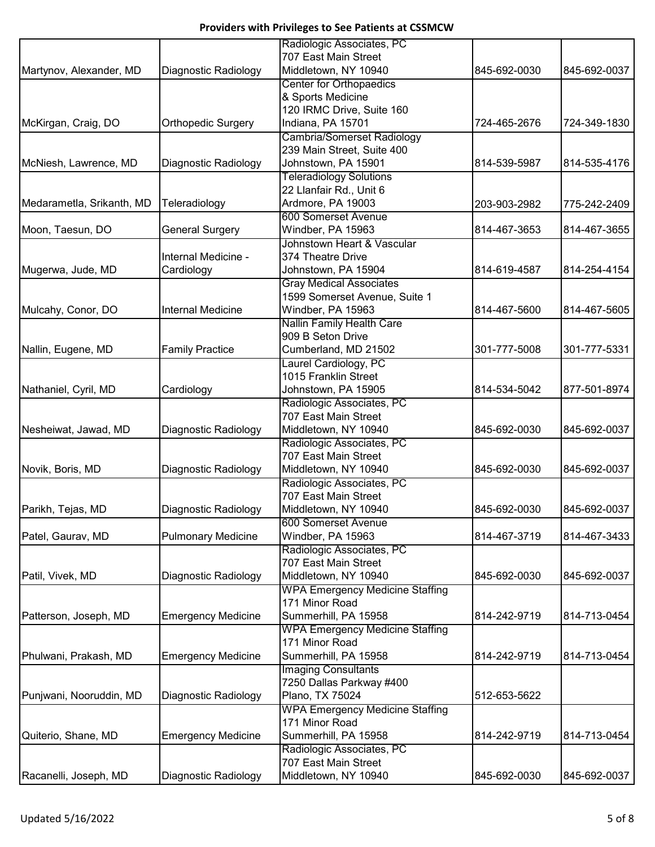|                           |                           | Radiologic Associates, PC                         |              |              |
|---------------------------|---------------------------|---------------------------------------------------|--------------|--------------|
|                           |                           | 707 East Main Street                              |              |              |
| Martynov, Alexander, MD   | Diagnostic Radiology      | Middletown, NY 10940                              | 845-692-0030 | 845-692-0037 |
|                           |                           | <b>Center for Orthopaedics</b>                    |              |              |
|                           |                           | & Sports Medicine                                 |              |              |
|                           |                           | 120 IRMC Drive, Suite 160                         |              |              |
| McKirgan, Craig, DO       | <b>Orthopedic Surgery</b> | Indiana, PA 15701                                 | 724-465-2676 | 724-349-1830 |
|                           |                           | <b>Cambria/Somerset Radiology</b>                 |              |              |
|                           |                           | 239 Main Street, Suite 400                        |              |              |
| McNiesh, Lawrence, MD     | Diagnostic Radiology      | Johnstown, PA 15901                               | 814-539-5987 | 814-535-4176 |
|                           |                           | <b>Teleradiology Solutions</b>                    |              |              |
|                           |                           | 22 Llanfair Rd., Unit 6                           |              |              |
| Medarametla, Srikanth, MD | Teleradiology             | Ardmore, PA 19003                                 | 203-903-2982 | 775-242-2409 |
|                           |                           | 600 Somerset Avenue                               |              |              |
| Moon, Taesun, DO          | <b>General Surgery</b>    | Windber, PA 15963                                 | 814-467-3653 | 814-467-3655 |
|                           |                           | Johnstown Heart & Vascular                        |              |              |
|                           | Internal Medicine -       | 374 Theatre Drive                                 |              |              |
| Mugerwa, Jude, MD         | Cardiology                | Johnstown, PA 15904                               | 814-619-4587 | 814-254-4154 |
|                           |                           | <b>Gray Medical Associates</b>                    |              |              |
|                           |                           | 1599 Somerset Avenue, Suite 1                     |              |              |
| Mulcahy, Conor, DO        | Internal Medicine         | Windber, PA 15963                                 | 814-467-5600 | 814-467-5605 |
|                           |                           | Nallin Family Health Care                         |              |              |
|                           |                           | 909 B Seton Drive                                 |              |              |
| Nallin, Eugene, MD        | <b>Family Practice</b>    | Cumberland, MD 21502                              | 301-777-5008 | 301-777-5331 |
|                           |                           | Laurel Cardiology, PC                             |              |              |
|                           |                           | 1015 Franklin Street                              |              |              |
| Nathaniel, Cyril, MD      | Cardiology                | Johnstown, PA 15905                               | 814-534-5042 | 877-501-8974 |
|                           |                           | Radiologic Associates, PC                         |              |              |
|                           |                           | 707 East Main Street                              |              |              |
| Nesheiwat, Jawad, MD      | Diagnostic Radiology      | Middletown, NY 10940                              | 845-692-0030 | 845-692-0037 |
|                           |                           | Radiologic Associates, PC                         |              |              |
|                           |                           | 707 East Main Street                              |              |              |
| Novik, Boris, MD          | Diagnostic Radiology      | Middletown, NY 10940                              | 845-692-0030 | 845-692-0037 |
|                           |                           | Radiologic Associates, PC                         |              |              |
|                           |                           | 707 East Main Street                              |              |              |
| Parikh, Tejas, MD         | Diagnostic Radiology      | Middletown, NY 10940                              | 845-692-0030 | 845-692-0037 |
|                           |                           | 600 Somerset Avenue                               |              |              |
| Patel, Gaurav, MD         | <b>Pulmonary Medicine</b> | Windber, PA 15963                                 | 814-467-3719 | 814-467-3433 |
|                           |                           |                                                   |              |              |
|                           |                           | Radiologic Associates, PC<br>707 East Main Street |              |              |
|                           |                           |                                                   |              |              |
| Patil, Vivek, MD          | Diagnostic Radiology      | Middletown, NY 10940                              | 845-692-0030 | 845-692-0037 |
|                           |                           | <b>WPA Emergency Medicine Staffing</b>            |              |              |
|                           |                           | 171 Minor Road                                    |              |              |
| Patterson, Joseph, MD     | <b>Emergency Medicine</b> | Summerhill, PA 15958                              | 814-242-9719 | 814-713-0454 |
|                           |                           | <b>WPA Emergency Medicine Staffing</b>            |              |              |
|                           |                           | 171 Minor Road                                    |              |              |
| Phulwani, Prakash, MD     | <b>Emergency Medicine</b> | Summerhill, PA 15958                              | 814-242-9719 | 814-713-0454 |
|                           |                           | <b>Imaging Consultants</b>                        |              |              |
|                           |                           | 7250 Dallas Parkway #400                          |              |              |
| Punjwani, Nooruddin, MD   | Diagnostic Radiology      | Plano, TX 75024                                   | 512-653-5622 |              |
|                           |                           | <b>WPA Emergency Medicine Staffing</b>            |              |              |
|                           |                           | 171 Minor Road                                    |              |              |
| Quiterio, Shane, MD       | <b>Emergency Medicine</b> | Summerhill, PA 15958                              | 814-242-9719 | 814-713-0454 |
|                           |                           | Radiologic Associates, PC                         |              |              |
|                           |                           | 707 East Main Street                              |              |              |
| Racanelli, Joseph, MD     | Diagnostic Radiology      | Middletown, NY 10940                              | 845-692-0030 | 845-692-0037 |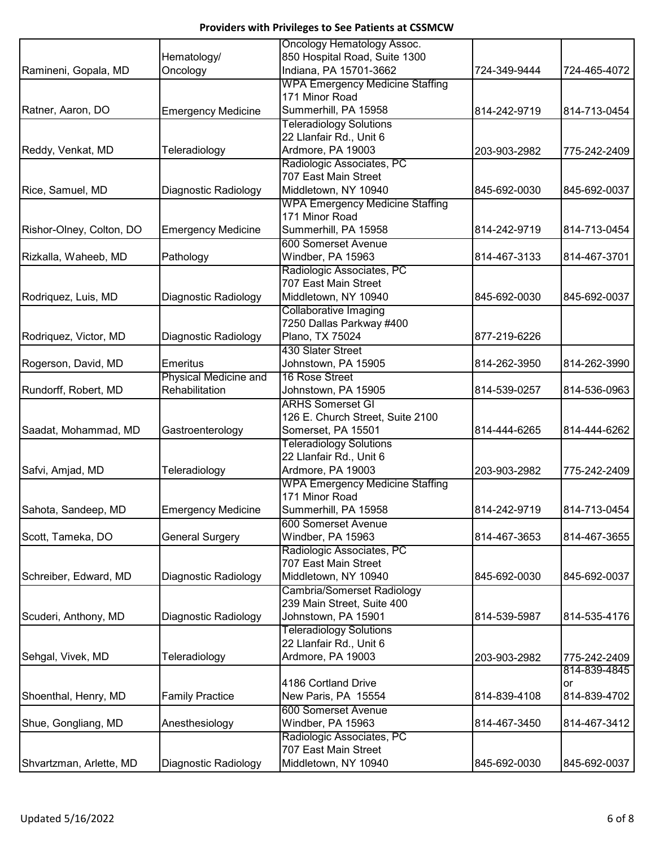|                          |                           | Oncology Hematology Assoc.               |              |              |
|--------------------------|---------------------------|------------------------------------------|--------------|--------------|
|                          | Hematology/               | 850 Hospital Road, Suite 1300            |              |              |
| Ramineni, Gopala, MD     | Oncology                  | Indiana, PA 15701-3662                   | 724-349-9444 | 724-465-4072 |
|                          |                           | <b>WPA Emergency Medicine Staffing</b>   |              |              |
|                          |                           | 171 Minor Road                           |              |              |
| Ratner, Aaron, DO        | <b>Emergency Medicine</b> | Summerhill, PA 15958                     | 814-242-9719 | 814-713-0454 |
|                          |                           | <b>Teleradiology Solutions</b>           |              |              |
|                          |                           | 22 Llanfair Rd., Unit 6                  |              |              |
| Reddy, Venkat, MD        | Teleradiology             | Ardmore, PA 19003                        | 203-903-2982 | 775-242-2409 |
|                          |                           | Radiologic Associates, PC                |              |              |
|                          |                           | 707 East Main Street                     |              |              |
| Rice, Samuel, MD         | Diagnostic Radiology      | Middletown, NY 10940                     | 845-692-0030 | 845-692-0037 |
|                          |                           | <b>WPA Emergency Medicine Staffing</b>   |              |              |
|                          |                           | 171 Minor Road                           |              |              |
| Rishor-Olney, Colton, DO | <b>Emergency Medicine</b> | Summerhill, PA 15958                     | 814-242-9719 | 814-713-0454 |
|                          |                           | 600 Somerset Avenue                      |              |              |
| Rizkalla, Waheeb, MD     | Pathology                 | Windber, PA 15963                        | 814-467-3133 | 814-467-3701 |
|                          |                           | Radiologic Associates, PC                |              |              |
|                          |                           | 707 East Main Street                     |              |              |
| Rodriquez, Luis, MD      | Diagnostic Radiology      | Middletown, NY 10940                     | 845-692-0030 | 845-692-0037 |
|                          |                           | Collaborative Imaging                    |              |              |
|                          |                           | 7250 Dallas Parkway #400                 |              |              |
| Rodriquez, Victor, MD    | Diagnostic Radiology      | Plano, TX 75024                          | 877-219-6226 |              |
|                          |                           | 430 Slater Street                        |              |              |
| Rogerson, David, MD      | <b>Emeritus</b>           | Johnstown, PA 15905                      | 814-262-3950 | 814-262-3990 |
|                          | Physical Medicine and     | 16 Rose Street                           |              |              |
| Rundorff, Robert, MD     | Rehabilitation            | Johnstown, PA 15905                      | 814-539-0257 | 814-536-0963 |
|                          |                           | <b>ARHS Somerset GI</b>                  |              |              |
|                          |                           | 126 E. Church Street, Suite 2100         |              |              |
| Saadat, Mohammad, MD     | Gastroenterology          | Somerset, PA 15501                       | 814-444-6265 | 814-444-6262 |
|                          |                           | <b>Teleradiology Solutions</b>           |              |              |
|                          |                           | 22 Llanfair Rd., Unit 6                  |              |              |
| Safvi, Amjad, MD         | Teleradiology             | Ardmore, PA 19003                        | 203-903-2982 | 775-242-2409 |
|                          |                           | <b>WPA Emergency Medicine Staffing</b>   |              |              |
|                          |                           | 171 Minor Road                           | 814-242-9719 |              |
| Sahota, Sandeep, MD      | <b>Emergency Medicine</b> | Summerhill, PA 15958                     |              | 814-713-0454 |
| Scott, Tameka, DO        |                           | 600 Somerset Avenue<br>Windber, PA 15963 | 814-467-3653 | 814-467-3655 |
|                          | <b>General Surgery</b>    | Radiologic Associates, PC                |              |              |
|                          |                           | 707 East Main Street                     |              |              |
| Schreiber, Edward, MD    | Diagnostic Radiology      | Middletown, NY 10940                     | 845-692-0030 | 845-692-0037 |
|                          |                           | Cambria/Somerset Radiology               |              |              |
|                          |                           | 239 Main Street, Suite 400               |              |              |
| Scuderi, Anthony, MD     | Diagnostic Radiology      | Johnstown, PA 15901                      | 814-539-5987 | 814-535-4176 |
|                          |                           | <b>Teleradiology Solutions</b>           |              |              |
|                          |                           | 22 Llanfair Rd., Unit 6                  |              |              |
| Sehgal, Vivek, MD        | Teleradiology             | Ardmore, PA 19003                        | 203-903-2982 | 775-242-2409 |
|                          |                           |                                          |              | 814-839-4845 |
|                          |                           | 4186 Cortland Drive                      |              | or           |
| Shoenthal, Henry, MD     | <b>Family Practice</b>    | New Paris, PA 15554                      | 814-839-4108 | 814-839-4702 |
|                          |                           | <b>600 Somerset Avenue</b>               |              |              |
| Shue, Gongliang, MD      | Anesthesiology            | Windber, PA 15963                        | 814-467-3450 | 814-467-3412 |
|                          |                           | Radiologic Associates, PC                |              |              |
|                          |                           | 707 East Main Street                     |              |              |
| Shvartzman, Arlette, MD  | Diagnostic Radiology      | Middletown, NY 10940                     | 845-692-0030 | 845-692-0037 |
|                          |                           |                                          |              |              |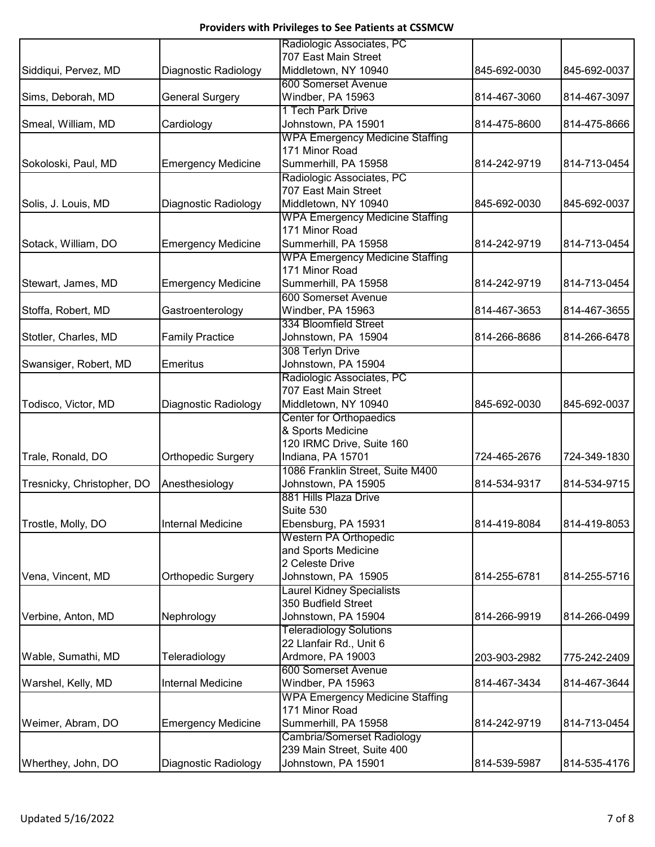| Siddiqui, Pervez, MD<br>Diagnostic Radiology<br>Middletown, NY 10940<br>845-692-0030<br>845-692-0037<br>600 Somerset Avenue<br><b>General Surgery</b><br>Windber, PA 15963<br>814-467-3060<br>814-467-3097<br>Sims, Deborah, MD<br>1 Tech Park Drive<br>Smeal, William, MD<br>Johnstown, PA 15901<br>814-475-8600<br>814-475-8666<br>Cardiology<br><b>WPA Emergency Medicine Staffing</b><br>171 Minor Road<br>Summerhill, PA 15958<br><b>Emergency Medicine</b><br>Sokoloski, Paul, MD<br>814-242-9719<br>Radiologic Associates, PC<br>707 East Main Street<br>Middletown, NY 10940<br>Solis, J. Louis, MD<br>Diagnostic Radiology<br>845-692-0030<br>845-692-0037<br><b>WPA Emergency Medicine Staffing</b><br>171 Minor Road<br><b>Emergency Medicine</b><br>Summerhill, PA 15958<br>Sotack, William, DO<br>814-242-9719<br><b>WPA Emergency Medicine Staffing</b><br>171 Minor Road<br>Summerhill, PA 15958<br><b>Emergency Medicine</b><br>814-713-0454<br>Stewart, James, MD<br>814-242-9719<br>600 Somerset Avenue<br>Stoffa, Robert, MD<br>Gastroenterology<br>Windber, PA 15963<br>814-467-3653<br>334 Bloomfield Street<br><b>Family Practice</b><br>Johnstown, PA 15904<br>814-266-8686<br>Stotler, Charles, MD<br>308 Terlyn Drive<br>Johnstown, PA 15904<br>Swansiger, Robert, MD<br><b>Emeritus</b><br>Radiologic Associates, PC<br>707 East Main Street<br>Middletown, NY 10940<br>Todisco, Victor, MD<br>Diagnostic Radiology<br>845-692-0030<br>845-692-0037<br><b>Center for Orthopaedics</b><br>& Sports Medicine<br>120 IRMC Drive, Suite 160<br>Orthopedic Surgery<br>Trale, Ronald, DO<br>Indiana, PA 15701<br>724-465-2676<br>1086 Franklin Street, Suite M400<br>Tresnicky, Christopher, DO<br>Anesthesiology<br>Johnstown, PA 15905<br>814-534-9317<br>814-534-9715<br>881 Hills Plaza Drive<br>Suite 530<br>814-419-8084<br>Trostle, Molly, DO<br><b>Internal Medicine</b><br>Ebensburg, PA 15931<br><b>Western PA Orthopedic</b><br>and Sports Medicine<br>2 Celeste Drive<br>Vena, Vincent, MD<br>Orthopedic Surgery<br>Johnstown, PA 15905<br>814-255-6781<br><b>Laurel Kidney Specialists</b><br>350 Budfield Street<br>Verbine, Anton, MD<br>Johnstown, PA 15904<br>Nephrology<br>814-266-9919<br><b>Teleradiology Solutions</b><br>22 Llanfair Rd., Unit 6<br>Wable, Sumathi, MD<br>Teleradiology<br>Ardmore, PA 19003<br>203-903-2982<br>600 Somerset Avenue<br><b>Internal Medicine</b><br>Windber, PA 15963<br>Warshel, Kelly, MD<br>814-467-3434<br><b>WPA Emergency Medicine Staffing</b><br>171 Minor Road<br>Weimer, Abram, DO<br>Summerhill, PA 15958<br><b>Emergency Medicine</b><br>814-242-9719<br><b>Cambria/Somerset Radiology</b><br>239 Main Street, Suite 400<br>Wherthey, John, DO<br>Diagnostic Radiology<br>Johnstown, PA 15901<br>814-539-5987 |  | Radiologic Associates, PC |  |
|----------------------------------------------------------------------------------------------------------------------------------------------------------------------------------------------------------------------------------------------------------------------------------------------------------------------------------------------------------------------------------------------------------------------------------------------------------------------------------------------------------------------------------------------------------------------------------------------------------------------------------------------------------------------------------------------------------------------------------------------------------------------------------------------------------------------------------------------------------------------------------------------------------------------------------------------------------------------------------------------------------------------------------------------------------------------------------------------------------------------------------------------------------------------------------------------------------------------------------------------------------------------------------------------------------------------------------------------------------------------------------------------------------------------------------------------------------------------------------------------------------------------------------------------------------------------------------------------------------------------------------------------------------------------------------------------------------------------------------------------------------------------------------------------------------------------------------------------------------------------------------------------------------------------------------------------------------------------------------------------------------------------------------------------------------------------------------------------------------------------------------------------------------------------------------------------------------------------------------------------------------------------------------------------------------------------------------------------------------------------------------------------------------------------------------------------------------------------------------------------------------------------------------------------------------------------------------------------------------------------------------------------------------------------------------------------------------------------------------------------------------------------------------------------------|--|---------------------------|--|
|                                                                                                                                                                                                                                                                                                                                                                                                                                                                                                                                                                                                                                                                                                                                                                                                                                                                                                                                                                                                                                                                                                                                                                                                                                                                                                                                                                                                                                                                                                                                                                                                                                                                                                                                                                                                                                                                                                                                                                                                                                                                                                                                                                                                                                                                                                                                                                                                                                                                                                                                                                                                                                                                                                                                                                                                    |  | 707 East Main Street      |  |
|                                                                                                                                                                                                                                                                                                                                                                                                                                                                                                                                                                                                                                                                                                                                                                                                                                                                                                                                                                                                                                                                                                                                                                                                                                                                                                                                                                                                                                                                                                                                                                                                                                                                                                                                                                                                                                                                                                                                                                                                                                                                                                                                                                                                                                                                                                                                                                                                                                                                                                                                                                                                                                                                                                                                                                                                    |  |                           |  |
|                                                                                                                                                                                                                                                                                                                                                                                                                                                                                                                                                                                                                                                                                                                                                                                                                                                                                                                                                                                                                                                                                                                                                                                                                                                                                                                                                                                                                                                                                                                                                                                                                                                                                                                                                                                                                                                                                                                                                                                                                                                                                                                                                                                                                                                                                                                                                                                                                                                                                                                                                                                                                                                                                                                                                                                                    |  |                           |  |
|                                                                                                                                                                                                                                                                                                                                                                                                                                                                                                                                                                                                                                                                                                                                                                                                                                                                                                                                                                                                                                                                                                                                                                                                                                                                                                                                                                                                                                                                                                                                                                                                                                                                                                                                                                                                                                                                                                                                                                                                                                                                                                                                                                                                                                                                                                                                                                                                                                                                                                                                                                                                                                                                                                                                                                                                    |  |                           |  |
|                                                                                                                                                                                                                                                                                                                                                                                                                                                                                                                                                                                                                                                                                                                                                                                                                                                                                                                                                                                                                                                                                                                                                                                                                                                                                                                                                                                                                                                                                                                                                                                                                                                                                                                                                                                                                                                                                                                                                                                                                                                                                                                                                                                                                                                                                                                                                                                                                                                                                                                                                                                                                                                                                                                                                                                                    |  |                           |  |
|                                                                                                                                                                                                                                                                                                                                                                                                                                                                                                                                                                                                                                                                                                                                                                                                                                                                                                                                                                                                                                                                                                                                                                                                                                                                                                                                                                                                                                                                                                                                                                                                                                                                                                                                                                                                                                                                                                                                                                                                                                                                                                                                                                                                                                                                                                                                                                                                                                                                                                                                                                                                                                                                                                                                                                                                    |  |                           |  |
| 814-713-0454<br>814-713-0454<br>814-467-3655<br>814-266-6478                                                                                                                                                                                                                                                                                                                                                                                                                                                                                                                                                                                                                                                                                                                                                                                                                                                                                                                                                                                                                                                                                                                                                                                                                                                                                                                                                                                                                                                                                                                                                                                                                                                                                                                                                                                                                                                                                                                                                                                                                                                                                                                                                                                                                                                                                                                                                                                                                                                                                                                                                                                                                                                                                                                                       |  |                           |  |
|                                                                                                                                                                                                                                                                                                                                                                                                                                                                                                                                                                                                                                                                                                                                                                                                                                                                                                                                                                                                                                                                                                                                                                                                                                                                                                                                                                                                                                                                                                                                                                                                                                                                                                                                                                                                                                                                                                                                                                                                                                                                                                                                                                                                                                                                                                                                                                                                                                                                                                                                                                                                                                                                                                                                                                                                    |  |                           |  |
|                                                                                                                                                                                                                                                                                                                                                                                                                                                                                                                                                                                                                                                                                                                                                                                                                                                                                                                                                                                                                                                                                                                                                                                                                                                                                                                                                                                                                                                                                                                                                                                                                                                                                                                                                                                                                                                                                                                                                                                                                                                                                                                                                                                                                                                                                                                                                                                                                                                                                                                                                                                                                                                                                                                                                                                                    |  |                           |  |
|                                                                                                                                                                                                                                                                                                                                                                                                                                                                                                                                                                                                                                                                                                                                                                                                                                                                                                                                                                                                                                                                                                                                                                                                                                                                                                                                                                                                                                                                                                                                                                                                                                                                                                                                                                                                                                                                                                                                                                                                                                                                                                                                                                                                                                                                                                                                                                                                                                                                                                                                                                                                                                                                                                                                                                                                    |  |                           |  |
|                                                                                                                                                                                                                                                                                                                                                                                                                                                                                                                                                                                                                                                                                                                                                                                                                                                                                                                                                                                                                                                                                                                                                                                                                                                                                                                                                                                                                                                                                                                                                                                                                                                                                                                                                                                                                                                                                                                                                                                                                                                                                                                                                                                                                                                                                                                                                                                                                                                                                                                                                                                                                                                                                                                                                                                                    |  |                           |  |
|                                                                                                                                                                                                                                                                                                                                                                                                                                                                                                                                                                                                                                                                                                                                                                                                                                                                                                                                                                                                                                                                                                                                                                                                                                                                                                                                                                                                                                                                                                                                                                                                                                                                                                                                                                                                                                                                                                                                                                                                                                                                                                                                                                                                                                                                                                                                                                                                                                                                                                                                                                                                                                                                                                                                                                                                    |  |                           |  |
|                                                                                                                                                                                                                                                                                                                                                                                                                                                                                                                                                                                                                                                                                                                                                                                                                                                                                                                                                                                                                                                                                                                                                                                                                                                                                                                                                                                                                                                                                                                                                                                                                                                                                                                                                                                                                                                                                                                                                                                                                                                                                                                                                                                                                                                                                                                                                                                                                                                                                                                                                                                                                                                                                                                                                                                                    |  |                           |  |
|                                                                                                                                                                                                                                                                                                                                                                                                                                                                                                                                                                                                                                                                                                                                                                                                                                                                                                                                                                                                                                                                                                                                                                                                                                                                                                                                                                                                                                                                                                                                                                                                                                                                                                                                                                                                                                                                                                                                                                                                                                                                                                                                                                                                                                                                                                                                                                                                                                                                                                                                                                                                                                                                                                                                                                                                    |  |                           |  |
|                                                                                                                                                                                                                                                                                                                                                                                                                                                                                                                                                                                                                                                                                                                                                                                                                                                                                                                                                                                                                                                                                                                                                                                                                                                                                                                                                                                                                                                                                                                                                                                                                                                                                                                                                                                                                                                                                                                                                                                                                                                                                                                                                                                                                                                                                                                                                                                                                                                                                                                                                                                                                                                                                                                                                                                                    |  |                           |  |
|                                                                                                                                                                                                                                                                                                                                                                                                                                                                                                                                                                                                                                                                                                                                                                                                                                                                                                                                                                                                                                                                                                                                                                                                                                                                                                                                                                                                                                                                                                                                                                                                                                                                                                                                                                                                                                                                                                                                                                                                                                                                                                                                                                                                                                                                                                                                                                                                                                                                                                                                                                                                                                                                                                                                                                                                    |  |                           |  |
|                                                                                                                                                                                                                                                                                                                                                                                                                                                                                                                                                                                                                                                                                                                                                                                                                                                                                                                                                                                                                                                                                                                                                                                                                                                                                                                                                                                                                                                                                                                                                                                                                                                                                                                                                                                                                                                                                                                                                                                                                                                                                                                                                                                                                                                                                                                                                                                                                                                                                                                                                                                                                                                                                                                                                                                                    |  |                           |  |
|                                                                                                                                                                                                                                                                                                                                                                                                                                                                                                                                                                                                                                                                                                                                                                                                                                                                                                                                                                                                                                                                                                                                                                                                                                                                                                                                                                                                                                                                                                                                                                                                                                                                                                                                                                                                                                                                                                                                                                                                                                                                                                                                                                                                                                                                                                                                                                                                                                                                                                                                                                                                                                                                                                                                                                                                    |  |                           |  |
|                                                                                                                                                                                                                                                                                                                                                                                                                                                                                                                                                                                                                                                                                                                                                                                                                                                                                                                                                                                                                                                                                                                                                                                                                                                                                                                                                                                                                                                                                                                                                                                                                                                                                                                                                                                                                                                                                                                                                                                                                                                                                                                                                                                                                                                                                                                                                                                                                                                                                                                                                                                                                                                                                                                                                                                                    |  |                           |  |
|                                                                                                                                                                                                                                                                                                                                                                                                                                                                                                                                                                                                                                                                                                                                                                                                                                                                                                                                                                                                                                                                                                                                                                                                                                                                                                                                                                                                                                                                                                                                                                                                                                                                                                                                                                                                                                                                                                                                                                                                                                                                                                                                                                                                                                                                                                                                                                                                                                                                                                                                                                                                                                                                                                                                                                                                    |  |                           |  |
|                                                                                                                                                                                                                                                                                                                                                                                                                                                                                                                                                                                                                                                                                                                                                                                                                                                                                                                                                                                                                                                                                                                                                                                                                                                                                                                                                                                                                                                                                                                                                                                                                                                                                                                                                                                                                                                                                                                                                                                                                                                                                                                                                                                                                                                                                                                                                                                                                                                                                                                                                                                                                                                                                                                                                                                                    |  |                           |  |
|                                                                                                                                                                                                                                                                                                                                                                                                                                                                                                                                                                                                                                                                                                                                                                                                                                                                                                                                                                                                                                                                                                                                                                                                                                                                                                                                                                                                                                                                                                                                                                                                                                                                                                                                                                                                                                                                                                                                                                                                                                                                                                                                                                                                                                                                                                                                                                                                                                                                                                                                                                                                                                                                                                                                                                                                    |  |                           |  |
| 724-349-1830<br>814-419-8053<br>814-255-5716<br>814-266-0499<br>775-242-2409<br>814-467-3644<br>814-713-0454<br>814-535-4176                                                                                                                                                                                                                                                                                                                                                                                                                                                                                                                                                                                                                                                                                                                                                                                                                                                                                                                                                                                                                                                                                                                                                                                                                                                                                                                                                                                                                                                                                                                                                                                                                                                                                                                                                                                                                                                                                                                                                                                                                                                                                                                                                                                                                                                                                                                                                                                                                                                                                                                                                                                                                                                                       |  |                           |  |
|                                                                                                                                                                                                                                                                                                                                                                                                                                                                                                                                                                                                                                                                                                                                                                                                                                                                                                                                                                                                                                                                                                                                                                                                                                                                                                                                                                                                                                                                                                                                                                                                                                                                                                                                                                                                                                                                                                                                                                                                                                                                                                                                                                                                                                                                                                                                                                                                                                                                                                                                                                                                                                                                                                                                                                                                    |  |                           |  |
|                                                                                                                                                                                                                                                                                                                                                                                                                                                                                                                                                                                                                                                                                                                                                                                                                                                                                                                                                                                                                                                                                                                                                                                                                                                                                                                                                                                                                                                                                                                                                                                                                                                                                                                                                                                                                                                                                                                                                                                                                                                                                                                                                                                                                                                                                                                                                                                                                                                                                                                                                                                                                                                                                                                                                                                                    |  |                           |  |
|                                                                                                                                                                                                                                                                                                                                                                                                                                                                                                                                                                                                                                                                                                                                                                                                                                                                                                                                                                                                                                                                                                                                                                                                                                                                                                                                                                                                                                                                                                                                                                                                                                                                                                                                                                                                                                                                                                                                                                                                                                                                                                                                                                                                                                                                                                                                                                                                                                                                                                                                                                                                                                                                                                                                                                                                    |  |                           |  |
|                                                                                                                                                                                                                                                                                                                                                                                                                                                                                                                                                                                                                                                                                                                                                                                                                                                                                                                                                                                                                                                                                                                                                                                                                                                                                                                                                                                                                                                                                                                                                                                                                                                                                                                                                                                                                                                                                                                                                                                                                                                                                                                                                                                                                                                                                                                                                                                                                                                                                                                                                                                                                                                                                                                                                                                                    |  |                           |  |
|                                                                                                                                                                                                                                                                                                                                                                                                                                                                                                                                                                                                                                                                                                                                                                                                                                                                                                                                                                                                                                                                                                                                                                                                                                                                                                                                                                                                                                                                                                                                                                                                                                                                                                                                                                                                                                                                                                                                                                                                                                                                                                                                                                                                                                                                                                                                                                                                                                                                                                                                                                                                                                                                                                                                                                                                    |  |                           |  |
|                                                                                                                                                                                                                                                                                                                                                                                                                                                                                                                                                                                                                                                                                                                                                                                                                                                                                                                                                                                                                                                                                                                                                                                                                                                                                                                                                                                                                                                                                                                                                                                                                                                                                                                                                                                                                                                                                                                                                                                                                                                                                                                                                                                                                                                                                                                                                                                                                                                                                                                                                                                                                                                                                                                                                                                                    |  |                           |  |
|                                                                                                                                                                                                                                                                                                                                                                                                                                                                                                                                                                                                                                                                                                                                                                                                                                                                                                                                                                                                                                                                                                                                                                                                                                                                                                                                                                                                                                                                                                                                                                                                                                                                                                                                                                                                                                                                                                                                                                                                                                                                                                                                                                                                                                                                                                                                                                                                                                                                                                                                                                                                                                                                                                                                                                                                    |  |                           |  |
|                                                                                                                                                                                                                                                                                                                                                                                                                                                                                                                                                                                                                                                                                                                                                                                                                                                                                                                                                                                                                                                                                                                                                                                                                                                                                                                                                                                                                                                                                                                                                                                                                                                                                                                                                                                                                                                                                                                                                                                                                                                                                                                                                                                                                                                                                                                                                                                                                                                                                                                                                                                                                                                                                                                                                                                                    |  |                           |  |
|                                                                                                                                                                                                                                                                                                                                                                                                                                                                                                                                                                                                                                                                                                                                                                                                                                                                                                                                                                                                                                                                                                                                                                                                                                                                                                                                                                                                                                                                                                                                                                                                                                                                                                                                                                                                                                                                                                                                                                                                                                                                                                                                                                                                                                                                                                                                                                                                                                                                                                                                                                                                                                                                                                                                                                                                    |  |                           |  |
|                                                                                                                                                                                                                                                                                                                                                                                                                                                                                                                                                                                                                                                                                                                                                                                                                                                                                                                                                                                                                                                                                                                                                                                                                                                                                                                                                                                                                                                                                                                                                                                                                                                                                                                                                                                                                                                                                                                                                                                                                                                                                                                                                                                                                                                                                                                                                                                                                                                                                                                                                                                                                                                                                                                                                                                                    |  |                           |  |
|                                                                                                                                                                                                                                                                                                                                                                                                                                                                                                                                                                                                                                                                                                                                                                                                                                                                                                                                                                                                                                                                                                                                                                                                                                                                                                                                                                                                                                                                                                                                                                                                                                                                                                                                                                                                                                                                                                                                                                                                                                                                                                                                                                                                                                                                                                                                                                                                                                                                                                                                                                                                                                                                                                                                                                                                    |  |                           |  |
|                                                                                                                                                                                                                                                                                                                                                                                                                                                                                                                                                                                                                                                                                                                                                                                                                                                                                                                                                                                                                                                                                                                                                                                                                                                                                                                                                                                                                                                                                                                                                                                                                                                                                                                                                                                                                                                                                                                                                                                                                                                                                                                                                                                                                                                                                                                                                                                                                                                                                                                                                                                                                                                                                                                                                                                                    |  |                           |  |
|                                                                                                                                                                                                                                                                                                                                                                                                                                                                                                                                                                                                                                                                                                                                                                                                                                                                                                                                                                                                                                                                                                                                                                                                                                                                                                                                                                                                                                                                                                                                                                                                                                                                                                                                                                                                                                                                                                                                                                                                                                                                                                                                                                                                                                                                                                                                                                                                                                                                                                                                                                                                                                                                                                                                                                                                    |  |                           |  |
|                                                                                                                                                                                                                                                                                                                                                                                                                                                                                                                                                                                                                                                                                                                                                                                                                                                                                                                                                                                                                                                                                                                                                                                                                                                                                                                                                                                                                                                                                                                                                                                                                                                                                                                                                                                                                                                                                                                                                                                                                                                                                                                                                                                                                                                                                                                                                                                                                                                                                                                                                                                                                                                                                                                                                                                                    |  |                           |  |
|                                                                                                                                                                                                                                                                                                                                                                                                                                                                                                                                                                                                                                                                                                                                                                                                                                                                                                                                                                                                                                                                                                                                                                                                                                                                                                                                                                                                                                                                                                                                                                                                                                                                                                                                                                                                                                                                                                                                                                                                                                                                                                                                                                                                                                                                                                                                                                                                                                                                                                                                                                                                                                                                                                                                                                                                    |  |                           |  |
|                                                                                                                                                                                                                                                                                                                                                                                                                                                                                                                                                                                                                                                                                                                                                                                                                                                                                                                                                                                                                                                                                                                                                                                                                                                                                                                                                                                                                                                                                                                                                                                                                                                                                                                                                                                                                                                                                                                                                                                                                                                                                                                                                                                                                                                                                                                                                                                                                                                                                                                                                                                                                                                                                                                                                                                                    |  |                           |  |
|                                                                                                                                                                                                                                                                                                                                                                                                                                                                                                                                                                                                                                                                                                                                                                                                                                                                                                                                                                                                                                                                                                                                                                                                                                                                                                                                                                                                                                                                                                                                                                                                                                                                                                                                                                                                                                                                                                                                                                                                                                                                                                                                                                                                                                                                                                                                                                                                                                                                                                                                                                                                                                                                                                                                                                                                    |  |                           |  |
|                                                                                                                                                                                                                                                                                                                                                                                                                                                                                                                                                                                                                                                                                                                                                                                                                                                                                                                                                                                                                                                                                                                                                                                                                                                                                                                                                                                                                                                                                                                                                                                                                                                                                                                                                                                                                                                                                                                                                                                                                                                                                                                                                                                                                                                                                                                                                                                                                                                                                                                                                                                                                                                                                                                                                                                                    |  |                           |  |
|                                                                                                                                                                                                                                                                                                                                                                                                                                                                                                                                                                                                                                                                                                                                                                                                                                                                                                                                                                                                                                                                                                                                                                                                                                                                                                                                                                                                                                                                                                                                                                                                                                                                                                                                                                                                                                                                                                                                                                                                                                                                                                                                                                                                                                                                                                                                                                                                                                                                                                                                                                                                                                                                                                                                                                                                    |  |                           |  |
|                                                                                                                                                                                                                                                                                                                                                                                                                                                                                                                                                                                                                                                                                                                                                                                                                                                                                                                                                                                                                                                                                                                                                                                                                                                                                                                                                                                                                                                                                                                                                                                                                                                                                                                                                                                                                                                                                                                                                                                                                                                                                                                                                                                                                                                                                                                                                                                                                                                                                                                                                                                                                                                                                                                                                                                                    |  |                           |  |
|                                                                                                                                                                                                                                                                                                                                                                                                                                                                                                                                                                                                                                                                                                                                                                                                                                                                                                                                                                                                                                                                                                                                                                                                                                                                                                                                                                                                                                                                                                                                                                                                                                                                                                                                                                                                                                                                                                                                                                                                                                                                                                                                                                                                                                                                                                                                                                                                                                                                                                                                                                                                                                                                                                                                                                                                    |  |                           |  |
|                                                                                                                                                                                                                                                                                                                                                                                                                                                                                                                                                                                                                                                                                                                                                                                                                                                                                                                                                                                                                                                                                                                                                                                                                                                                                                                                                                                                                                                                                                                                                                                                                                                                                                                                                                                                                                                                                                                                                                                                                                                                                                                                                                                                                                                                                                                                                                                                                                                                                                                                                                                                                                                                                                                                                                                                    |  |                           |  |
|                                                                                                                                                                                                                                                                                                                                                                                                                                                                                                                                                                                                                                                                                                                                                                                                                                                                                                                                                                                                                                                                                                                                                                                                                                                                                                                                                                                                                                                                                                                                                                                                                                                                                                                                                                                                                                                                                                                                                                                                                                                                                                                                                                                                                                                                                                                                                                                                                                                                                                                                                                                                                                                                                                                                                                                                    |  |                           |  |
|                                                                                                                                                                                                                                                                                                                                                                                                                                                                                                                                                                                                                                                                                                                                                                                                                                                                                                                                                                                                                                                                                                                                                                                                                                                                                                                                                                                                                                                                                                                                                                                                                                                                                                                                                                                                                                                                                                                                                                                                                                                                                                                                                                                                                                                                                                                                                                                                                                                                                                                                                                                                                                                                                                                                                                                                    |  |                           |  |
|                                                                                                                                                                                                                                                                                                                                                                                                                                                                                                                                                                                                                                                                                                                                                                                                                                                                                                                                                                                                                                                                                                                                                                                                                                                                                                                                                                                                                                                                                                                                                                                                                                                                                                                                                                                                                                                                                                                                                                                                                                                                                                                                                                                                                                                                                                                                                                                                                                                                                                                                                                                                                                                                                                                                                                                                    |  |                           |  |
|                                                                                                                                                                                                                                                                                                                                                                                                                                                                                                                                                                                                                                                                                                                                                                                                                                                                                                                                                                                                                                                                                                                                                                                                                                                                                                                                                                                                                                                                                                                                                                                                                                                                                                                                                                                                                                                                                                                                                                                                                                                                                                                                                                                                                                                                                                                                                                                                                                                                                                                                                                                                                                                                                                                                                                                                    |  |                           |  |
|                                                                                                                                                                                                                                                                                                                                                                                                                                                                                                                                                                                                                                                                                                                                                                                                                                                                                                                                                                                                                                                                                                                                                                                                                                                                                                                                                                                                                                                                                                                                                                                                                                                                                                                                                                                                                                                                                                                                                                                                                                                                                                                                                                                                                                                                                                                                                                                                                                                                                                                                                                                                                                                                                                                                                                                                    |  |                           |  |
|                                                                                                                                                                                                                                                                                                                                                                                                                                                                                                                                                                                                                                                                                                                                                                                                                                                                                                                                                                                                                                                                                                                                                                                                                                                                                                                                                                                                                                                                                                                                                                                                                                                                                                                                                                                                                                                                                                                                                                                                                                                                                                                                                                                                                                                                                                                                                                                                                                                                                                                                                                                                                                                                                                                                                                                                    |  |                           |  |
|                                                                                                                                                                                                                                                                                                                                                                                                                                                                                                                                                                                                                                                                                                                                                                                                                                                                                                                                                                                                                                                                                                                                                                                                                                                                                                                                                                                                                                                                                                                                                                                                                                                                                                                                                                                                                                                                                                                                                                                                                                                                                                                                                                                                                                                                                                                                                                                                                                                                                                                                                                                                                                                                                                                                                                                                    |  |                           |  |
|                                                                                                                                                                                                                                                                                                                                                                                                                                                                                                                                                                                                                                                                                                                                                                                                                                                                                                                                                                                                                                                                                                                                                                                                                                                                                                                                                                                                                                                                                                                                                                                                                                                                                                                                                                                                                                                                                                                                                                                                                                                                                                                                                                                                                                                                                                                                                                                                                                                                                                                                                                                                                                                                                                                                                                                                    |  |                           |  |
|                                                                                                                                                                                                                                                                                                                                                                                                                                                                                                                                                                                                                                                                                                                                                                                                                                                                                                                                                                                                                                                                                                                                                                                                                                                                                                                                                                                                                                                                                                                                                                                                                                                                                                                                                                                                                                                                                                                                                                                                                                                                                                                                                                                                                                                                                                                                                                                                                                                                                                                                                                                                                                                                                                                                                                                                    |  |                           |  |